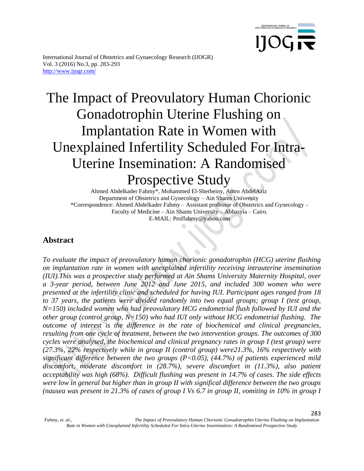

283

International Journal of Obstetrics and Gynaecology Research (IJOGR) Vol. 3 (2016) No.3, pp. 283-293 http://www.ijogr.com/

# The Impact of Preovulatory Human Chorionic Gonadotrophin Uterine Flushing on Implantation Rate in Women with Unexplained Infertility Scheduled For Intra-Uterine Insemination: A Randomised Prospective Study

Ahmed Abdelkader Fahmy\*, Mohammed El-Sherbeiny, Amro AbdelAziz Department of Obstetrics and Gynecology – Ain Shams University \*Correspondence: Ahmed Abdelkader Fahmy – Assistant professor of Obstetrics and Gynecology – Faculty of Medicine – Ain Shams University – Abbasyia – Cairo. E-MAIL: Proffahmy@yahoo.com

# **Abstract**

*To evaluate the impact of preovulatory human chorionic gonadotrophin (HCG) uterine flushing on implantation rate in women with unexplained infertility receiving intrauterine insemination (IUI).This was a prospective study performed at Ain Shams University Maternity Hospital, over a 3-year period, between June 2012 and June 2015, and included 300 women who were presented at the infertility clinic and scheduled for having IUI. Participant ages ranged from 18 to 37 years, the patients were divided randomly into two equal groups; group I (test group, N=150) included women who had preovulatory HCG endometrial flush followed by IUI and the other group (control group, N=150) who had IUI only without HCG endometrial flushing. The outcome of interest is the difference in the rate of biochemical and clinical pregnancies, resulting from one cycle of treatment, between the two intervention groups. The outcomes of 300 cycles were analysed, the biochemical and clinical pregnancy rates in group I (test group) were (27.3%, 22% respectively while in group II (control group) were21.3%, 16% respectively with significant difference between the two groups (P<0.05), (44.7%) of patients experienced mild discomfort, moderate discomfort in (28.7%), severe discomfort in (11.3%), also patient acceptability was high (68%). Difficult flushing was present in 14.7% of cases. The side effects were low in general but higher than in group II with significal difference between the two groups (nausea was present in 21.3% of cases of group I Vs 6.7 in group II, vomiting in 10% in group I*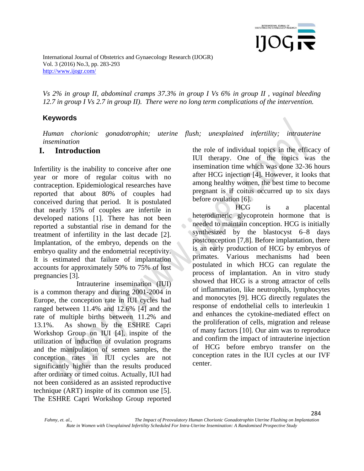

*Vs 2% in group II, abdominal cramps 37.3% in group I Vs 6% in group II , vaginal bleeding 12.7 in group I Vs 2.7 in group II). There were no long term complications of the intervention.* 

## **Keywords**

*Human chorionic gonadotrophin; uterine flush; unexplained infertility; intrauterine insemination*

## **I. Introduction**

Infertility is the inability to conceive after one year or more of regular coitus with no contraception. Epidemiological researches have reported that about 80% of couples had conceived during that period. It is postulated that nearly 15% of couples are infertile in developed nations [1]. There has not been reported a substantial rise in demand for the treatment of infertility in the last decade [2]. Implantation, of the embryo, depends on the embryo quality and the endometrial receptivity. It is estimated that failure of implantation accounts for approximately 50% to 75% of lost pregnancies [3].

Intrauterine insemination (IUI) is a common therapy and during 2001-2004 in Europe, the conception rate in IUI cycles had ranged between 11.4% and 12.6% [4] and the rate of multiple births between 11.2% and 13.1%. As shown by the ESHRE Capri Workshop Group on IUI [4], inspite of the utilization of induction of ovulation programs and the manipulation of semen samples, the conception rates in IUI cycles are not significantly higher than the results produced after ordinary or timed coitus. Actually, IUI had not been considered as an assisted reproductive technique (ART) inspite of its common use [5]. The ESHRE Capri Workshop Group reported the role of individual topics in the efficacy of IUI therapy. One of the topics was the insemination time which was done 32-36 hours after HCG injection [4]. However, it looks that among healthy women, the best time to become pregnant is if coitus occurred up to six days before ovulation [6].

HCG is a placental heterodimeric glycoprotein hormone that is needed to maintain conception. HCG is initially synthesized by the blastocyst 6–8 days postconception [7,8]. Before implantation, there is an early production of HCG by embryos of primates. Various mechanisms had been postulated in which HCG can regulate the process of implantation. An in vitro study showed that HCG is a strong attractor of cells of inflammation, like neutrophils, lymphocytes and monocytes [9]. HCG directly regulates the response of endothelial cells to interleukin 1 and enhances the cytokine-mediated effect on the proliferation of cells, migration and release of many factors [10]. Our aim was to reproduce and confirm the impact of intrauterine injection of HCG before embryo transfer on the conception rates in the IUI cycles at our IVF center.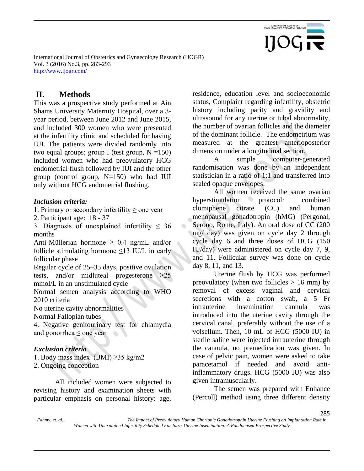

## **II. Methods**

This was a prospective study performed at Ain Shams University Maternity Hospital, over a 3 year period, between June 2012 and June 2015, and included 300 women who were presented at the infertility clinic and scheduled for having IUI. The patients were divided randomly into two equal groups; group I (test group,  $N = 150$ ) included women who had preovulatory HCG endometrial flush followed by IUI and the other group (control group, N=150) who had IUI only without HCG endometrial flushing.

#### *Inclusion criteria:*

1. Primary or secondary infertility ≥ one year

2. Participant age: 18 - 37

3. Diagnosis of unexplained infertility  $\leq 36$ months

Anti-Müllerian hormone  $\geq$  0.4 ng/mL and/or follicle stimulating hormone  $\leq$ 13 IU/L in early follicular phase

Regular cycle of 25–35 days, positive ovulation tests, and/or midluteal progesterone  $\geq 25$ mmol/L in an unstimulated cycle

Normal semen analysis according to WHO 2010 criteria

No uterine cavity abnormalities

Normal Fallopian tubes

4. Negative genitourinary test for chlamydia and gonorrhea  $\leq$  one year

#### *Exclusion criteria*

1. Body mass index  $(BMI) \geq 35$  kg/m2

2. Ongoing conception

All included women were subjected to revising history and examination sheets with particular emphasis on personal history: age,

residence, education level and socioeconomic status, Complaint regarding infertility, obstetric history including parity and gravidity and ultrasound for any uterine or tubal abnormality, the number of ovarian follicles and the diameter of the dominant follicle. The endometrium was measured at the greatest anterioposterior dimension under a longitudinal section.

A simple computer-generated randomisation was done by an independent statistician in a ratio of 1:1 and transferred into sealed opaque envelopes.

All women received the same ovarian hyperstimulation protocol: combined clomiphene citrate (CC) and human menopausal gonadotropin (hMG) (Pergonal, Serono, Rome, Italy). An oral dose of CC (200 mg/ day) was given on cycle day 2 through cycle day 6 and three doses of HCG (150 IU/day) were administered on cycle day 7, 9, and 11. Follicular survey was done on cycle day 8, 11, and 13.

Uterine flush by HCG was performed preovulatory (when two follicles  $> 16$  mm) by removal of excess vaginal and cervical secretions with a cotton swab, a 5 Fr intrauterine insemination cannula was introduced into the uterine cavity through the cervical canal, preferably without the use of a volsellum. Then, 10 mL of HCG (5000 IU) in sterile saline were injected intrauterine through the cannula, no premedication was given. In case of pelvic pain, women were asked to take paracetamol if needed and avoid antiinflammatory drugs. HCG (5000 IU) was also given intramuscularly.

The semen was prepared with Enhance (Percoll) method using three different density

*Fahmy, et. al., The Impact of Preovulatory Human Chorionic Gonadotrophin Uterine Flushing on Implantation Rate in Women with Unexplained Infertility Scheduled For Intra-Uterine Insemination: A Randomised Prospective Study*

 $\bullet$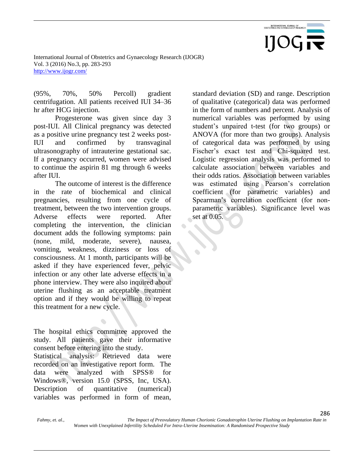

(95%, 70%, 50% Percoll) gradient centrifugation. All patients received IUI 34–36 hr after HCG injection.

Progesterone was given since day 3 post-IUI. All Clinical pregnancy was detected as a positive urine pregnancy test 2 weeks post-IUI and confirmed by transvaginal ultrasonography of intrauterine gestational sac. If a pregnancy occurred, women were advised to continue the aspirin 81 mg through 6 weeks after IUI.

The outcome of interest is the difference in the rate of biochemical and clinical pregnancies, resulting from one cycle of treatment, between the two intervention groups. Adverse effects were reported. After completing the intervention, the clinician document adds the following symptoms: pain (none, mild, moderate, severe), nausea, vomiting, weakness, dizziness or loss of consciousness. At 1 month, participants will be asked if they have experienced fever, pelvic infection or any other late adverse effects in a phone interview. They were also inquired about uterine flushing as an acceptable treatment option and if they would be willing to repeat this treatment for a new cycle.

The hospital ethics committee approved the study. All patients gave their informative consent before entering into the study.

Statistical analysis: Retrieved data were recorded on an investigative report form. The data were analyzed with SPSS® for Windows®, version 15.0 (SPSS, Inc, USA). Description of quantitative (numerical) variables was performed in form of mean,

standard deviation (SD) and range. Description of qualitative (categorical) data was performed in the form of numbers and percent. Analysis of numerical variables was performed by using student's unpaired t-test (for two groups) or ANOVA (for more than two groups). Analysis of categorical data was performed by using Fischer's exact test and Chi-squared test. Logistic regression analysis was performed to calculate association between variables and their odds ratios. Association between variables was estimated using Pearson's correlation coefficient (for parametric variables) and Spearman's correlation coefficient (for nonparametric variables). Significance level was set at 0.05.

*Fahmy, et. al., The Impact of Preovulatory Human Chorionic Gonadotrophin Uterine Flushing on Implantation Rate in Women with Unexplained Infertility Scheduled For Intra-Uterine Insemination: A Randomised Prospective Study*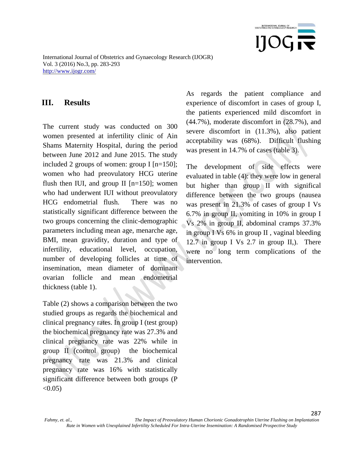

## **III. Results**

The current study was conducted on 300 women presented at infertility clinic of Ain Shams Maternity Hospital, during the period between June 2012 and June 2015. The study included 2 groups of women: group I [n=150]; women who had preovulatory HCG uterine flush then IUI, and group II  $[n=150]$ ; women who had underwent IUI without preovulatory HCG endometrial flush. There was no statistically significant difference between the two groups concerning the clinic-demographic parameters including mean age, menarche age, BMI, mean gravidity, duration and type of infertility, educational level, occupation, number of developing follicles at time of insemination, mean diameter of dominant ovarian follicle and mean endometrial thickness (table 1).

Table (2) shows a comparison between the two studied groups as regards the biochemical and clinical pregnancy rates. In group I (test group) the biochemical pregnancy rate was 27.3% and clinical pregnancy rate was 22% while in group II (control group) the biochemical pregnancy rate was 21.3% and clinical pregnancy rate was 16% with statistically significant difference between both groups (P  $< 0.05$ )

As regards the patient compliance and experience of discomfort in cases of group I, the patients experienced mild discomfort in (44.7%), moderate discomfort in (28.7%), and severe discomfort in (11.3%), also patient acceptability was (68%). Difficult flushing was present in 14.7% of cases (table 3).

The development of side effects were evaluated in table (4): they were low in general but higher than group II with significal difference between the two groups (nausea was present in 21.3% of cases of group I Vs 6.7% in group II, vomiting in 10% in group I Vs 2% in group II, abdominal cramps 37.3% in group I Vs 6% in group II , vaginal bleeding 12.7 in group I Vs 2.7 in group II,). There were no long term complications of the intervention.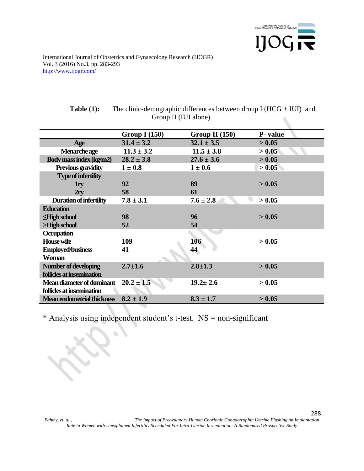

|                                   | Group I $(150)$ | Group II $(150)$ | P- value |
|-----------------------------------|-----------------|------------------|----------|
| Age                               | $31.4 \pm 3.2$  | $32.1 \pm 3.5$   | > 0.05   |
| Menarche age                      | $11.3 \pm 3.2$  | $11.5 \pm 3.8$   | > 0.05   |
| Body mass index (kg/m2)           | $28.2 \pm 3.8$  | $27.6 \pm 3.6$   | > 0.05   |
| <b>Previous gravidity</b>         | $1 \pm 0.8$     | $1 \pm 0.6$      | > 0.05   |
| <b>Type of infertility</b>        |                 |                  |          |
| 1 <sub>ry</sub>                   | 92              | 89               | > 0.05   |
| 2ry                               | 58              | 61               |          |
| <b>Duration of infertility</b>    | $7.8 \pm 3.1$   | $7.6 \pm 2.8$    | > 0.05   |
| <b>Education</b>                  |                 |                  |          |
| $\leq$ High school                | 98              | 96               | > 0.05   |
| >High school                      | 52              | 54               |          |
| Occupation                        |                 |                  |          |
| <b>House wife</b>                 | 109             | 106              | > 0.05   |
| <b>Employed/business</b>          | 41              | 44               |          |
| <b>Woman</b>                      |                 |                  |          |
| Number of developing              | $2.7 \pm 1.6$   | $2.8 \pm 1.3$    | > 0.05   |
| follicles at insemination         |                 |                  |          |
| Mean diameter of dominant         | $20.2 \pm 1.5$  | $19.2 \pm 2.6$   | > 0.05   |
| follicles at insemination         |                 |                  |          |
| <b>Mean endometrial thickness</b> | $8.2 \pm 1.9$   | $8.3 \pm 1.7$    | > 0.05   |
|                                   |                 |                  |          |

| <b>Table (1):</b> | The clinic-demographic differences between droup I $(HCG + IUI)$ and |
|-------------------|----------------------------------------------------------------------|
|                   | Group II (IUI alone).                                                |

\* Analysis using independent student's t-test. NS = non-significant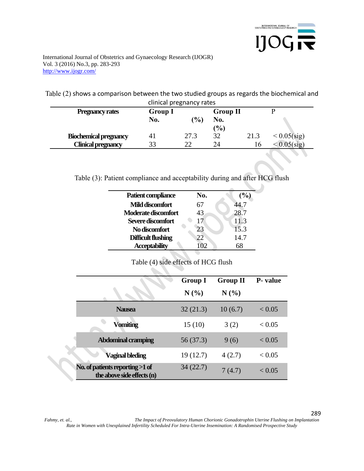

Table (2) shows a comparison between the two studied groups as regards the biochemical and clinical pregnancy rates

| Chritical pregnancy rates    |                |               |                      |      |                |
|------------------------------|----------------|---------------|----------------------|------|----------------|
| <b>Pregnancy rates</b>       | <b>Group I</b> |               | <b>Group II</b>      |      |                |
|                              | No.            | $\frac{9}{0}$ | No.<br>$\frac{9}{0}$ |      |                |
| <b>Biochemical pregnancy</b> | 4 <sub>1</sub> | 27.3          | 32                   | 21.3 | $< 0.05$ (sig) |
| <b>Clinical pregnancy</b>    | 33             | າາ            | 24                   | Iб   | $-0.05$ (sig)  |

Table (3): Patient compliance and acceptability during and after HCG flush

| Patient compliance   | No. | (%)  |
|----------------------|-----|------|
| Mild discomfort      | 67  | 14.7 |
| Moderate discomfort  | 43  | 28.7 |
| Severe discomfort    | 17  | 11.3 |
| No discomfort        | 23  | 15.3 |
| Difficult flushing   | 22  | 14.7 |
| <b>Acceptability</b> |     |      |

Table (4) side effects of HCG flush

 $\mathcal{L}$ 

|                                                               | <b>Group I</b><br>N(%) | <b>Group II</b><br>N(%) | <b>P</b> -value |
|---------------------------------------------------------------|------------------------|-------------------------|-----------------|
| <b>Nausea</b>                                                 | 32(21.3)               | 10(6.7)                 | < 0.05          |
| <b>Vomiting</b>                                               | 15(10)                 | 3(2)                    | ${}_{<}0.05$    |
| <b>Abdominal cramping</b>                                     | 56 (37.3)              | 9(6)                    | ${}< 0.05$      |
| Vaginal bleding                                               | 19 (12.7)              | 4(2.7)                  | ${}< 0.05$      |
| No. of patients reporting >1 of<br>the above side effects (n) | 34(22.7)               | 7(4.7)                  | < 0.05          |

*Fahmy, et. al., The Impact of Preovulatory Human Chorionic Gonadotrophin Uterine Flushing on Implantation Rate in Women with Unexplained Infertility Scheduled For Intra-Uterine Insemination: A Randomised Prospective Study*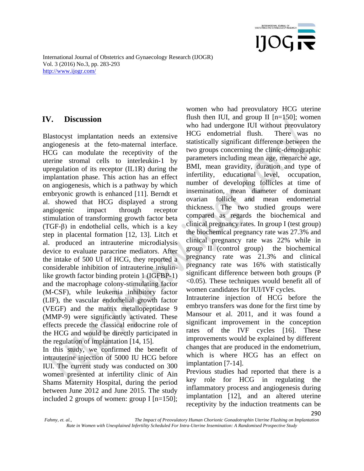

## **IV. Discussion**

Blastocyst implantation needs an extensive angiogenesis at the feto-maternal interface. HCG can modulate the receptivity of the uterine stromal cells to interleukin-1 by upregulation of its receptor (IL1R) during the implantation phase. This action has an effect on angiogenesis, which is a pathway by which embryonic growth is enhanced [11]. Berndt et al. showed that HCG displayed a strong angiogenic impact through receptor stimulation of transforming growth factor beta (TGF-β) in endothelial cells, which is a key step in placental formation [12, 13]. Litch et al. produced an intrauterine microdialysis device to evaluate paracrine mediators. After the intake of 500 UI of HCG, they reported a considerable inhibition of intrauterine insulinlike growth factor binding protein 1 (IGFBP-1) and the macrophage colony-stimulating factor (M-CSF), while leukemia inhibitory factor (LIF), the vascular endothelial growth factor (VEGF) and the matrix metallopeptidase 9 (MMP-9) were significantly activated. These effects precede the classical endocrine role of the HCG and would be directly participated in the regulation of implantation [14, 15].

In this study, we confirmed the benefit of intrauterine injection of 5000 IU HCG before IUI. The current study was conducted on 300 women presented at infertility clinic of Ain Shams Maternity Hospital, during the period between June 2012 and June 2015. The study included 2 groups of women: group I [n=150];

women who had preovulatory HCG uterine flush then IUI, and group II  $[n=150]$ ; women who had undergone IUI without preovulatory HCG endometrial flush. There was no statistically significant difference between the two groups concerning the clinic-demographic parameters including mean age, menarche age, BMI, mean gravidity, duration and type of infertility, educational level, occupation, number of developing follicles at time of insemination, mean diameter of dominant ovarian follicle and mean endometrial thickness. The two studied groups were compared as regards the biochemical and clinical pregnancy rates. In group I (test group) the biochemical pregnancy rate was 27.3% and clinical pregnancy rate was 22% while in group II (control group) the biochemical pregnancy rate was 21.3% and clinical pregnancy rate was 16% with statistically significant difference between both groups (P <0.05). These techniques would benefit all of women candidates for IUI/IVF cycles.

Intrauterine injection of HCG before the embryo transfers was done for the first time by Mansour et al. 2011, and it was found a significant improvement in the conception rates of the IVF cycles [16]. These improvements would be explained by different changes that are produced in the endometrium, which is where HCG has an effect on implantation [7-14].

290 Previous studies had reported that there is a key role for HCG in regulating the inflammatory process and angiogenesis during implantation [12], and an altered uterine receptivity by the induction treatments can be

*Fahmy, et. al., The Impact of Preovulatory Human Chorionic Gonadotrophin Uterine Flushing on Implantation Rate in Women with Unexplained Infertility Scheduled For Intra-Uterine Insemination: A Randomised Prospective Study*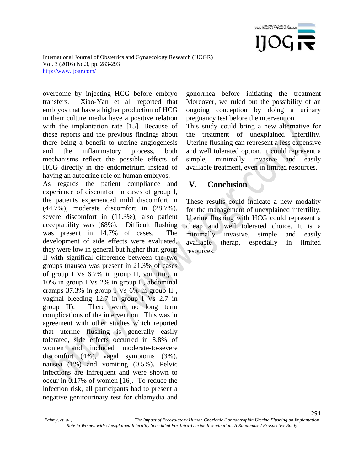

overcome by injecting HCG before embryo transfers. Xiao-Yan et al. reported that embryos that have a higher production of HCG in their culture media have a positive relation with the implantation rate [15]. Because of these reports and the previous findings about there being a benefit to uterine angiogenesis and the inflammatory process, both mechanisms reflect the possible effects of HCG directly in the endometrium instead of having an autocrine role on human embryos.

As regards the patient compliance and experience of discomfort in cases of group I, the patients experienced mild discomfort in (44.7%), moderate discomfort in (28.7%), severe discomfort in (11.3%), also patient acceptability was (68%). Difficult flushing was present in 14.7% of cases. The development of side effects were evaluated, they were low in general but higher than group II with significal difference between the two groups (nausea was present in 21.3% of cases of group I Vs 6.7% in group II, vomiting in 10% in group I Vs 2% in group II, abdominal cramps 37.3% in group I Vs 6% in group II , vaginal bleeding 12.7 in group I Vs 2.7 in group II). There were no long term complications of the intervention. This was in agreement with other studies which reported that uterine flushing is generally easily tolerated, side effects occurred in 8.8% of women and included moderate-to-severe discomfort (4%), vagal symptoms (3%), nausea (1%) and vomiting (0.5%). Pelvic infections are infrequent and were shown to occur in 0.17% of women [16]. To reduce the infection risk, all participants had to present a negative genitourinary test for chlamydia and

gonorrhea before initiating the treatment Moreover, we ruled out the possibility of an ongoing conception by doing a urinary pregnancy test before the intervention.

This study could bring a new alternative for the treatment of unexplained infertility. Uterine flushing can represent a less expensive and well tolerated option. It could represent a simple, minimally invasive and easily available treatment, even in limited resources.

## **V. Conclusion**

These results could indicate a new modality for the management of unexplained infertility. Uterine flushing with HCG could represent a cheap and well tolerated choice. It is a minimally invasive, simple and easily available therap, especially in limited resources.

*Fahmy, et. al., The Impact of Preovulatory Human Chorionic Gonadotrophin Uterine Flushing on Implantation Rate in Women with Unexplained Infertility Scheduled For Intra-Uterine Insemination: A Randomised Prospective Study*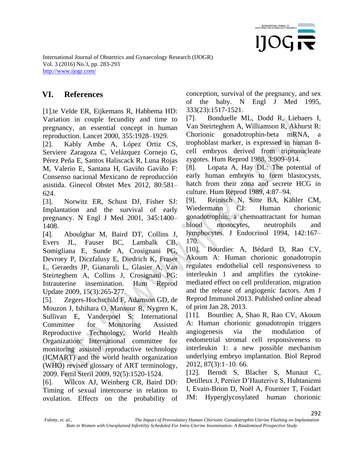

# **VI. References**

[1].te Velde ER, Eijkemans R, Habbema HD: Variation in couple fecundity and time to pregnancy, an essential concept in human reproduction. Lancet 2000, 355:1928–1929.

[2]. Kably Ambe A, López Ortiz CS, Serviere Zaragoza C, Velázquez Cornejo G, Pérez Peña E, Santos Haliscack R, Luna Rojas M, Valerio E, Santana H, Gaviño Gaviño F: Consenso nacional Mexicano de reproducción asistida. Ginecol Obstet Mex 2012, 80:581– 624.

[3]. Norwitz ER, Schust DJ, Fisher SJ: Implantation and the survival of early pregnancy. N Engl J Med 2001, 345:1400– 1408.

[4]. Aboulghar M, Baird DT, Collins J, Evers JL, Fauser BC, Lambalk CB, Somigliana E, Sunde A, Crosignani PG, Devroey P, Diczfalusy E, Diedrich K, Fraser L, Geraedts JP, Gianaroli L, Glasier A, Van Steirteghem A, Collins J, Crosignani PG: Intrauterine insemination. Hum Reprod Update 2009, 15(3):265-277.

[5]. Zegers-Hochschild F, Adamson GD, de Mouzon J, Ishihara O, Mansour R, Nygren K, Sullivan E, Vanderpoel S: International Committee for Monitoring Assisted Reproductive Technology, World Health Organization: International committee for monitoring assisted reproductive technology (ICMART) and the world health organization (WHO) revised glossary of ART terminology, 2009. Fertil Steril 2009, 92(5):1520-1524.

[6]. Wilcox AJ, Weinberg CR, Baird DD: Timing of sexual intercourse in relation to ovulation. Effects on the probability of conception, survival of the pregnancy, and sex of the baby. N Engl J Med 1995, 333(23):1517-1521.

[7]. Bonduelle ML, Dodd R, Liebaers I, Van Steirteghem A, Williamson R, Akhurst R: Chorionic gonadotrophin-beta mRNA, a trophoblast marker, is expressed in human 8 cell embryos derived from tripronucleate zygotes. Hum Reprod 1988, 3:909–914.

[8]. Lopata A, Hay DL: The potential of early human embryos to form blastocysts, hatch from their zona and secrete HCG in culture. Hum Reprod 1989, 4:87–94.

[9]. Reinisch N, Sitte BA, Kähler CM, Wiedermann CJ: Human chorionic gonadotrophin: a chemoattractant for human blood monocytes, neutrophils and lymphocytes. J Endocrinol 1994, 142:167– 170.

[10]. Bourdiec A, Bédard D, Rao CV, Akoum A: Human chorionic gonadotropin regulates endothelial cell responsiveness to interleukin 1 and amplifies the cytokinemediated effect on cell proliferation, migration and the release of angiogenic factors. Am J Reprod Immunol 2013. Published online ahead of print Jan 28, 2013.

[11]. Bourdiec A, Shao R, Rao CV, Akoum A: Human chorionic gonadotropin triggers angiogenesis via the modulation of endometrial stromal cell responsiveness to interleukin 1: a new possible mechanism underlying embryo implantation. Biol Reprod 2012, 87(3):1–10. 66.

[12]. Berndt S, Blacher S, Munaut C, Detilleux J, Perrier D'Hauterive S, Huhtaniemi I, Evain-Brion D, Noël A, Fournier T, Foidart JM: Hyperglycosylated human chorionic

*Fahmy, et. al., The Impact of Preovulatory Human Chorionic Gonadotrophin Uterine Flushing on Implantation*